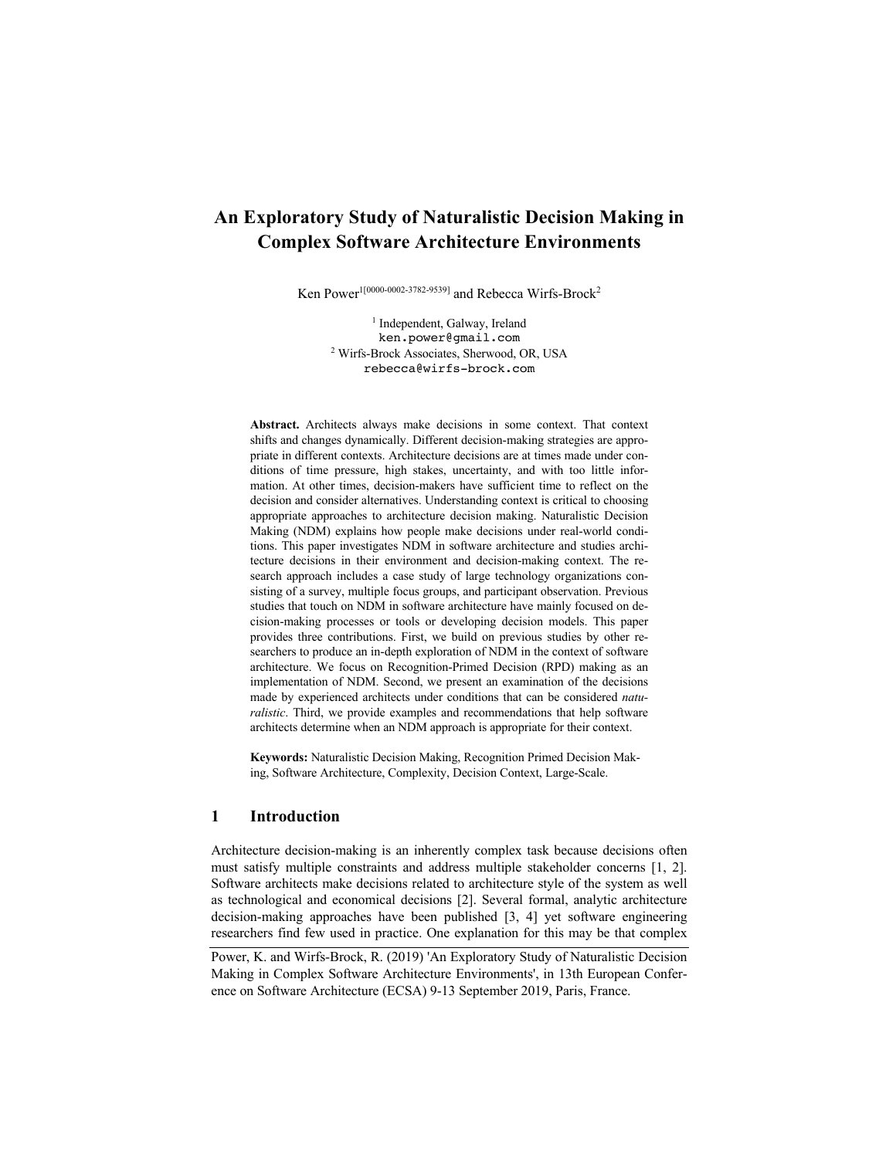# **An Exploratory Study of Naturalistic Decision Making in Complex Software Architecture Environments**

Ken Power<sup>1[0000-0002-3782-9539]</sup> and Rebecca Wirfs-Brock<sup>2</sup>

<sup>1</sup> Independent, Galway, Ireland ken.power@gmail.com <sup>2</sup> Wirfs-Brock Associates, Sherwood, OR, USA rebecca@wirfs-brock.com

**Abstract.** Architects always make decisions in some context. That context shifts and changes dynamically. Different decision-making strategies are appropriate in different contexts. Architecture decisions are at times made under conditions of time pressure, high stakes, uncertainty, and with too little information. At other times, decision-makers have sufficient time to reflect on the decision and consider alternatives. Understanding context is critical to choosing appropriate approaches to architecture decision making. Naturalistic Decision Making (NDM) explains how people make decisions under real-world conditions. This paper investigates NDM in software architecture and studies architecture decisions in their environment and decision-making context. The research approach includes a case study of large technology organizations consisting of a survey, multiple focus groups, and participant observation. Previous studies that touch on NDM in software architecture have mainly focused on decision-making processes or tools or developing decision models. This paper provides three contributions. First, we build on previous studies by other researchers to produce an in-depth exploration of NDM in the context of software architecture. We focus on Recognition-Primed Decision (RPD) making as an implementation of NDM. Second, we present an examination of the decisions made by experienced architects under conditions that can be considered *naturalistic*. Third, we provide examples and recommendations that help software architects determine when an NDM approach is appropriate for their context.

**Keywords:** Naturalistic Decision Making, Recognition Primed Decision Making, Software Architecture, Complexity, Decision Context, Large-Scale.

## **1 Introduction**

Architecture decision-making is an inherently complex task because decisions often must satisfy multiple constraints and address multiple stakeholder concerns [1, 2]. Software architects make decisions related to architecture style of the system as well as technological and economical decisions [2]. Several formal, analytic architecture decision-making approaches have been published [3, 4] yet software engineering researchers find few used in practice. One explanation for this may be that complex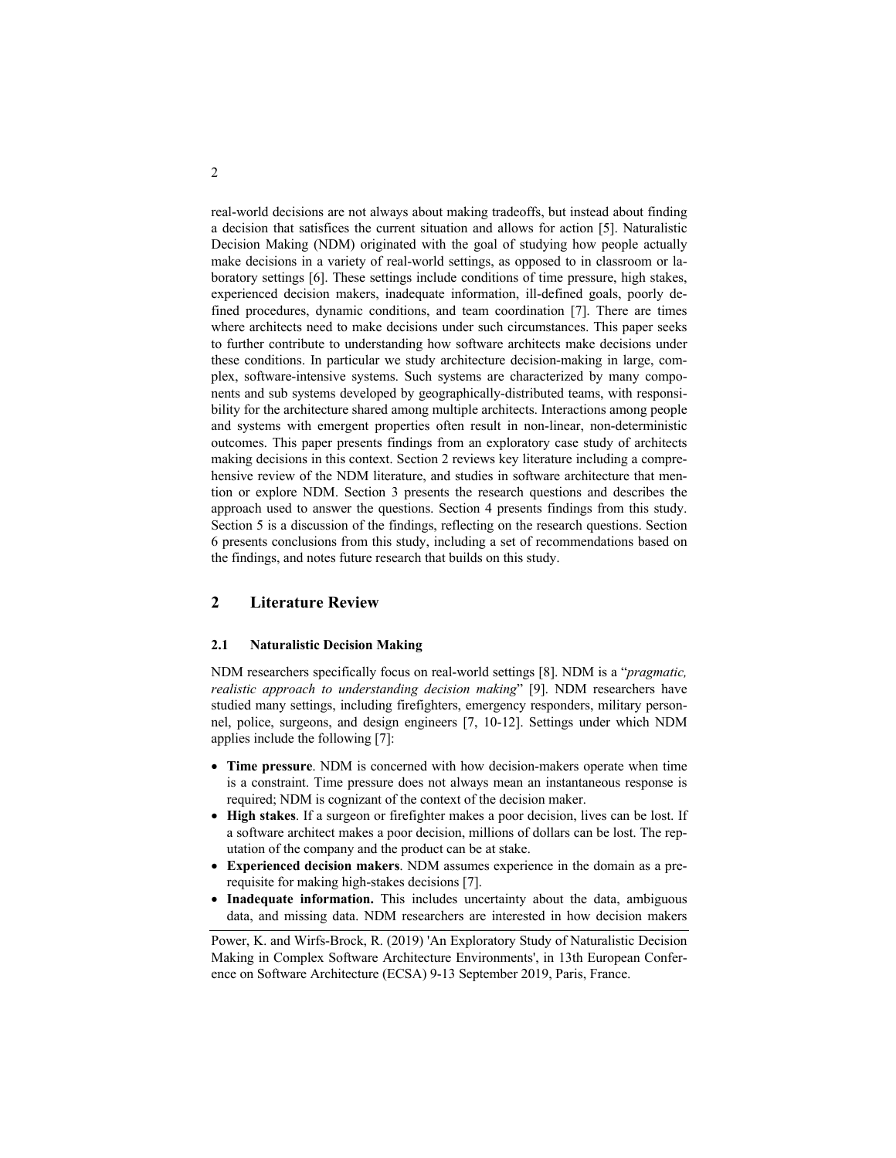real-world decisions are not always about making tradeoffs, but instead about finding a decision that satisfices the current situation and allows for action [5]. Naturalistic Decision Making (NDM) originated with the goal of studying how people actually make decisions in a variety of real-world settings, as opposed to in classroom or laboratory settings [6]. These settings include conditions of time pressure, high stakes, experienced decision makers, inadequate information, ill-defined goals, poorly defined procedures, dynamic conditions, and team coordination [7]. There are times where architects need to make decisions under such circumstances. This paper seeks to further contribute to understanding how software architects make decisions under these conditions. In particular we study architecture decision-making in large, complex, software-intensive systems. Such systems are characterized by many components and sub systems developed by geographically-distributed teams, with responsibility for the architecture shared among multiple architects. Interactions among people and systems with emergent properties often result in non-linear, non-deterministic outcomes. This paper presents findings from an exploratory case study of architects making decisions in this context. Section 2 reviews key literature including a comprehensive review of the NDM literature, and studies in software architecture that mention or explore NDM. Section 3 presents the research questions and describes the approach used to answer the questions. Section 4 presents findings from this study. Section 5 is a discussion of the findings, reflecting on the research questions. Section 6 presents conclusions from this study, including a set of recommendations based on the findings, and notes future research that builds on this study.

## **2 Literature Review**

#### **2.1 Naturalistic Decision Making**

NDM researchers specifically focus on real-world settings [8]. NDM is a "*pragmatic, realistic approach to understanding decision making*" [9]. NDM researchers have studied many settings, including firefighters, emergency responders, military personnel, police, surgeons, and design engineers [7, 10-12]. Settings under which NDM applies include the following [7]:

- **Time pressure**. NDM is concerned with how decision-makers operate when time is a constraint. Time pressure does not always mean an instantaneous response is required; NDM is cognizant of the context of the decision maker.
- **High stakes**. If a surgeon or firefighter makes a poor decision, lives can be lost. If a software architect makes a poor decision, millions of dollars can be lost. The reputation of the company and the product can be at stake.
- **Experienced decision makers**. NDM assumes experience in the domain as a prerequisite for making high-stakes decisions [7].
- **Inadequate information.** This includes uncertainty about the data, ambiguous data, and missing data. NDM researchers are interested in how decision makers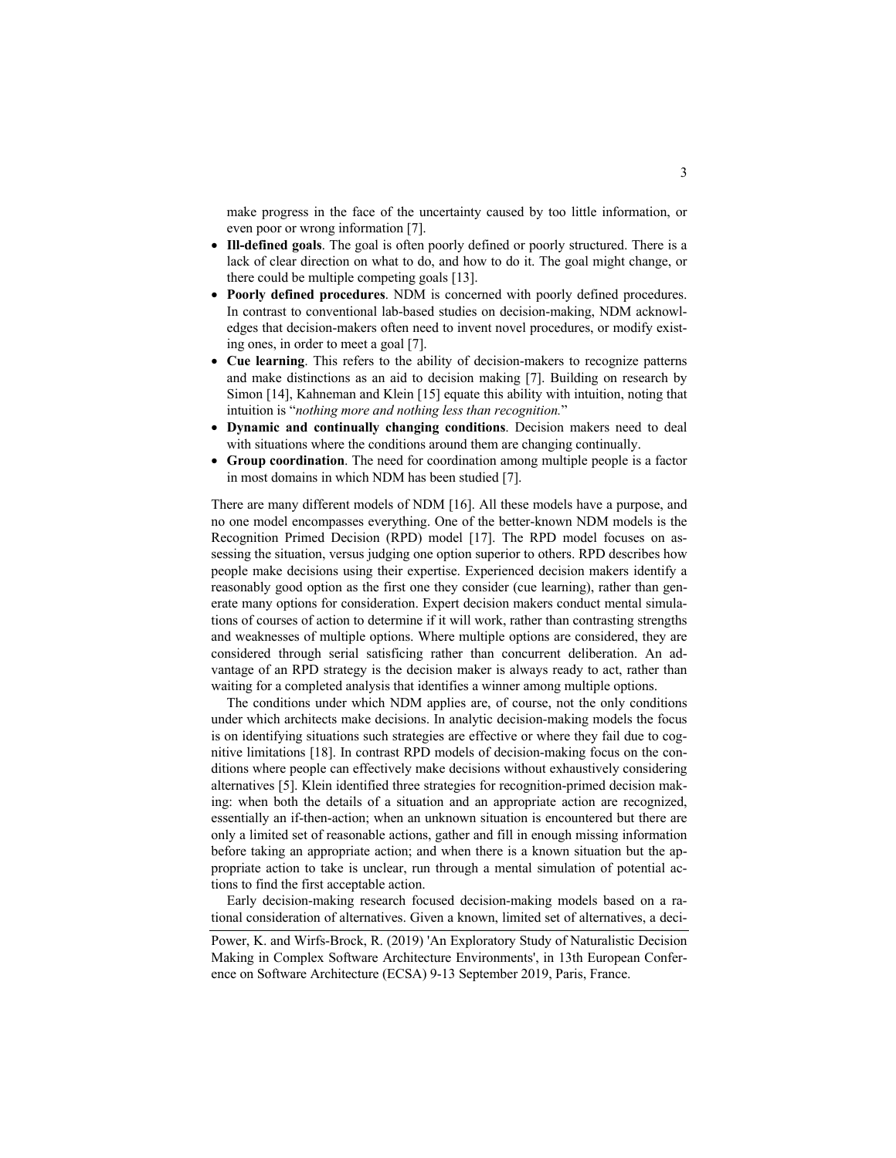make progress in the face of the uncertainty caused by too little information, or even poor or wrong information [7].

- **Ill-defined goals**. The goal is often poorly defined or poorly structured. There is a lack of clear direction on what to do, and how to do it. The goal might change, or there could be multiple competing goals [13].
- **Poorly defined procedures**. NDM is concerned with poorly defined procedures. In contrast to conventional lab-based studies on decision-making, NDM acknowledges that decision-makers often need to invent novel procedures, or modify existing ones, in order to meet a goal [7].
- **Cue learning**. This refers to the ability of decision-makers to recognize patterns and make distinctions as an aid to decision making [7]. Building on research by Simon [14], Kahneman and Klein [15] equate this ability with intuition, noting that intuition is "*nothing more and nothing less than recognition.*"
- **Dynamic and continually changing conditions**. Decision makers need to deal with situations where the conditions around them are changing continually.
- **Group coordination**. The need for coordination among multiple people is a factor in most domains in which NDM has been studied [7].

There are many different models of NDM [16]. All these models have a purpose, and no one model encompasses everything. One of the better-known NDM models is the Recognition Primed Decision (RPD) model [17]. The RPD model focuses on assessing the situation, versus judging one option superior to others. RPD describes how people make decisions using their expertise. Experienced decision makers identify a reasonably good option as the first one they consider (cue learning), rather than generate many options for consideration. Expert decision makers conduct mental simulations of courses of action to determine if it will work, rather than contrasting strengths and weaknesses of multiple options. Where multiple options are considered, they are considered through serial satisficing rather than concurrent deliberation. An advantage of an RPD strategy is the decision maker is always ready to act, rather than waiting for a completed analysis that identifies a winner among multiple options.

The conditions under which NDM applies are, of course, not the only conditions under which architects make decisions. In analytic decision-making models the focus is on identifying situations such strategies are effective or where they fail due to cognitive limitations [18]. In contrast RPD models of decision-making focus on the conditions where people can effectively make decisions without exhaustively considering alternatives [5]. Klein identified three strategies for recognition-primed decision making: when both the details of a situation and an appropriate action are recognized, essentially an if-then-action; when an unknown situation is encountered but there are only a limited set of reasonable actions, gather and fill in enough missing information before taking an appropriate action; and when there is a known situation but the appropriate action to take is unclear, run through a mental simulation of potential actions to find the first acceptable action.

Early decision-making research focused decision-making models based on a rational consideration of alternatives. Given a known, limited set of alternatives, a deci-

Power, K. and Wirfs-Brock, R. (2019) 'An Exploratory Study of Naturalistic Decision Making in Complex Software Architecture Environments', in 13th European Conference on Software Architecture (ECSA) 9-13 September 2019, Paris, France.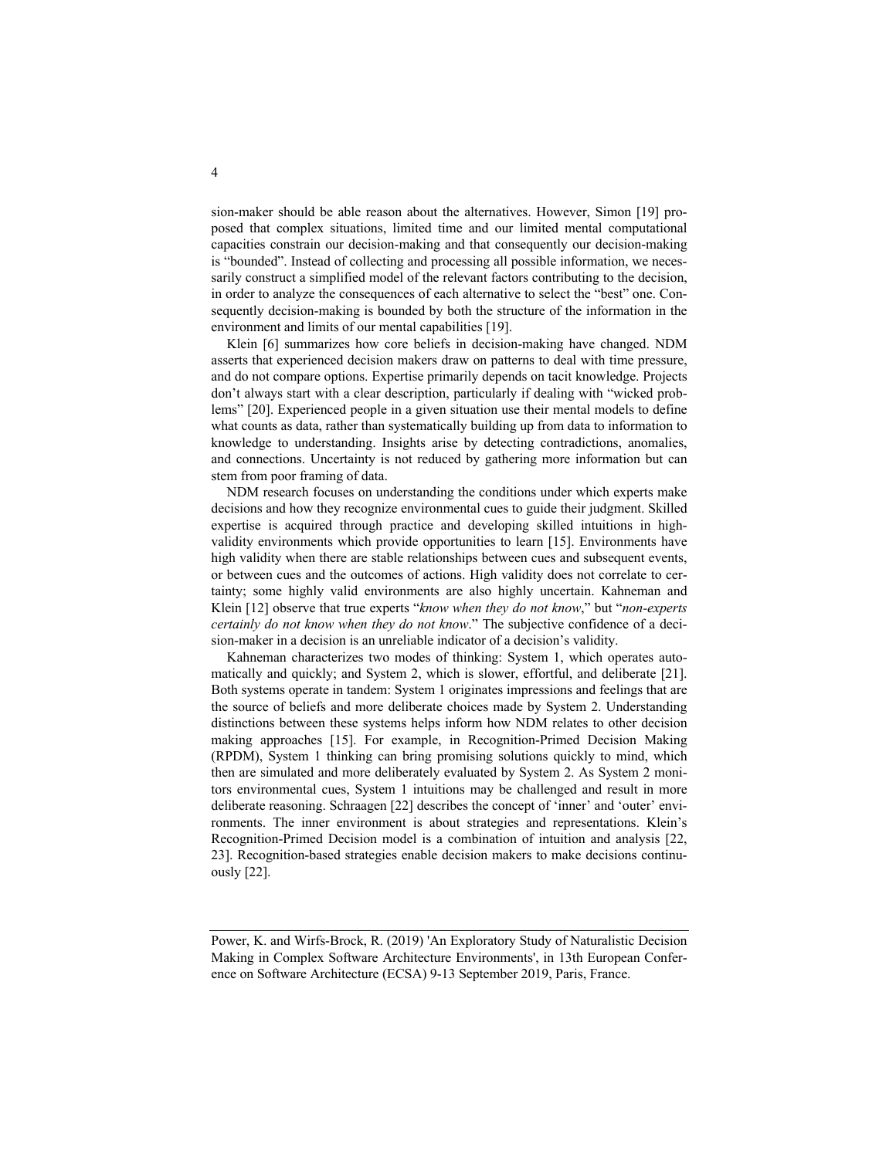sion-maker should be able reason about the alternatives. However, Simon [19] proposed that complex situations, limited time and our limited mental computational capacities constrain our decision-making and that consequently our decision-making is "bounded". Instead of collecting and processing all possible information, we necessarily construct a simplified model of the relevant factors contributing to the decision, in order to analyze the consequences of each alternative to select the "best" one. Consequently decision-making is bounded by both the structure of the information in the environment and limits of our mental capabilities [19].

Klein [6] summarizes how core beliefs in decision-making have changed. NDM asserts that experienced decision makers draw on patterns to deal with time pressure, and do not compare options. Expertise primarily depends on tacit knowledge. Projects don't always start with a clear description, particularly if dealing with "wicked problems" [20]. Experienced people in a given situation use their mental models to define what counts as data, rather than systematically building up from data to information to knowledge to understanding. Insights arise by detecting contradictions, anomalies, and connections. Uncertainty is not reduced by gathering more information but can stem from poor framing of data.

NDM research focuses on understanding the conditions under which experts make decisions and how they recognize environmental cues to guide their judgment. Skilled expertise is acquired through practice and developing skilled intuitions in highvalidity environments which provide opportunities to learn [15]. Environments have high validity when there are stable relationships between cues and subsequent events, or between cues and the outcomes of actions. High validity does not correlate to certainty; some highly valid environments are also highly uncertain. Kahneman and Klein [12] observe that true experts "*know when they do not know*," but "*non-experts certainly do not know when they do not know*." The subjective confidence of a decision-maker in a decision is an unreliable indicator of a decision's validity.

Kahneman characterizes two modes of thinking: System 1, which operates automatically and quickly; and System 2, which is slower, effortful, and deliberate [21]. Both systems operate in tandem: System 1 originates impressions and feelings that are the source of beliefs and more deliberate choices made by System 2. Understanding distinctions between these systems helps inform how NDM relates to other decision making approaches [15]. For example, in Recognition-Primed Decision Making (RPDM), System 1 thinking can bring promising solutions quickly to mind, which then are simulated and more deliberately evaluated by System 2. As System 2 monitors environmental cues, System 1 intuitions may be challenged and result in more deliberate reasoning. Schraagen [22] describes the concept of 'inner' and 'outer' environments. The inner environment is about strategies and representations. Klein's Recognition-Primed Decision model is a combination of intuition and analysis [22, 23]. Recognition-based strategies enable decision makers to make decisions continuously [22].

Power, K. and Wirfs-Brock, R. (2019) 'An Exploratory Study of Naturalistic Decision Making in Complex Software Architecture Environments', in 13th European Conference on Software Architecture (ECSA) 9-13 September 2019, Paris, France.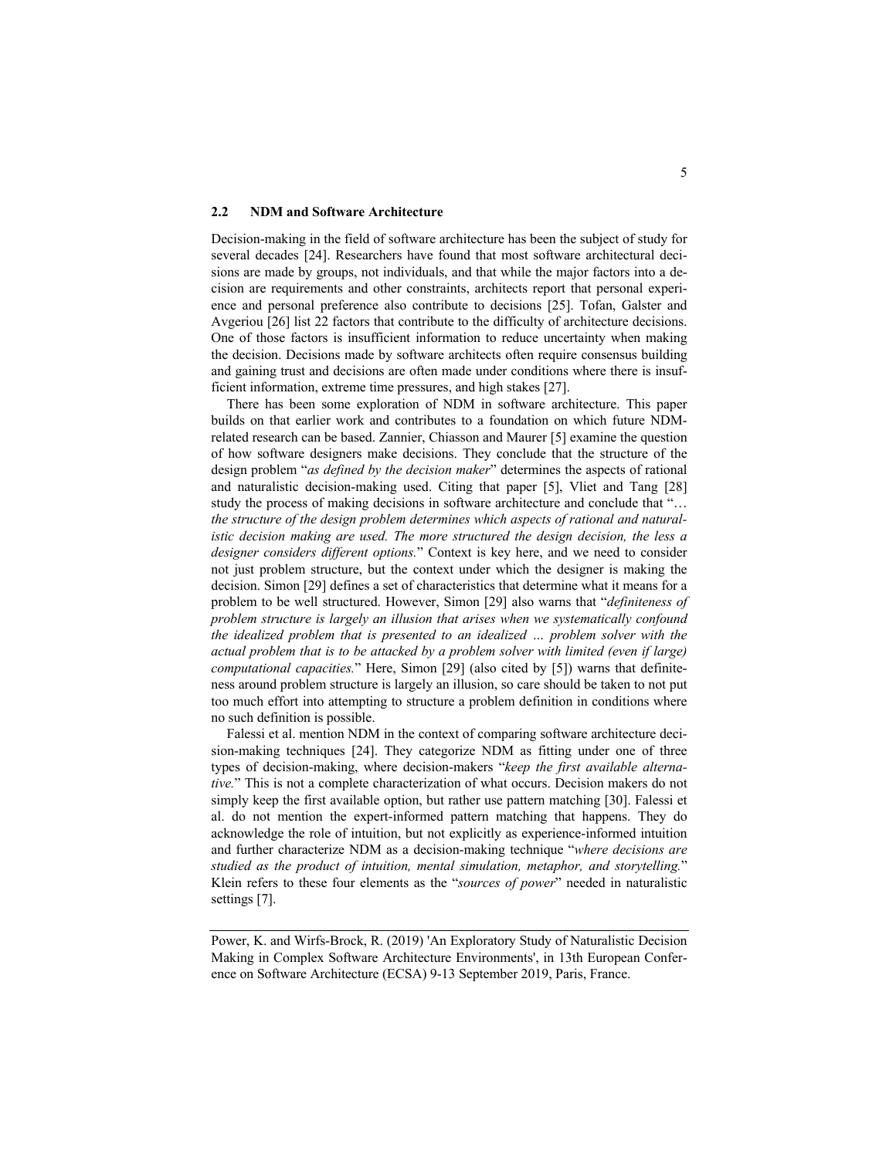#### **2.2 NDM and Software Architecture**

Decision-making in the field of software architecture has been the subject of study for several decades [24]. Researchers have found that most software architectural decisions are made by groups, not individuals, and that while the major factors into a decision are requirements and other constraints, architects report that personal experience and personal preference also contribute to decisions [25]. Tofan, Galster and Avgeriou [26] list 22 factors that contribute to the difficulty of architecture decisions. One of those factors is insufficient information to reduce uncertainty when making the decision. Decisions made by software architects often require consensus building and gaining trust and decisions are often made under conditions where there is insufficient information, extreme time pressures, and high stakes [27].

There has been some exploration of NDM in software architecture. This paper builds on that earlier work and contributes to a foundation on which future NDMrelated research can be based. Zannier, Chiasson and Maurer [5] examine the question of how software designers make decisions. They conclude that the structure of the design problem "*as defined by the decision maker*" determines the aspects of rational and naturalistic decision-making used. Citing that paper [5], Vliet and Tang [28] study the process of making decisions in software architecture and conclude that "… *the structure of the design problem determines which aspects of rational and naturalistic decision making are used. The more structured the design decision, the less a designer considers different options.*" Context is key here, and we need to consider not just problem structure, but the context under which the designer is making the decision. Simon [29] defines a set of characteristics that determine what it means for a problem to be well structured. However, Simon [29] also warns that "*definiteness of problem structure is largely an illusion that arises when we systematically confound the idealized problem that is presented to an idealized … problem solver with the actual problem that is to be attacked by a problem solver with limited (even if large) computational capacities.*" Here, Simon [29] (also cited by [5]) warns that definiteness around problem structure is largely an illusion, so care should be taken to not put too much effort into attempting to structure a problem definition in conditions where no such definition is possible.

Falessi et al. mention NDM in the context of comparing software architecture decision-making techniques [24]. They categorize NDM as fitting under one of three types of decision-making, where decision-makers "*keep the first available alternative.*" This is not a complete characterization of what occurs. Decision makers do not simply keep the first available option, but rather use pattern matching [30]. Falessi et al. do not mention the expert-informed pattern matching that happens. They do acknowledge the role of intuition, but not explicitly as experience-informed intuition and further characterize NDM as a decision-making technique "*where decisions are studied as the product of intuition, mental simulation, metaphor, and storytelling.*" Klein refers to these four elements as the "*sources of power*" needed in naturalistic settings [7].

Power, K. and Wirfs-Brock, R. (2019) 'An Exploratory Study of Naturalistic Decision Making in Complex Software Architecture Environments', in 13th European Conference on Software Architecture (ECSA) 9-13 September 2019, Paris, France.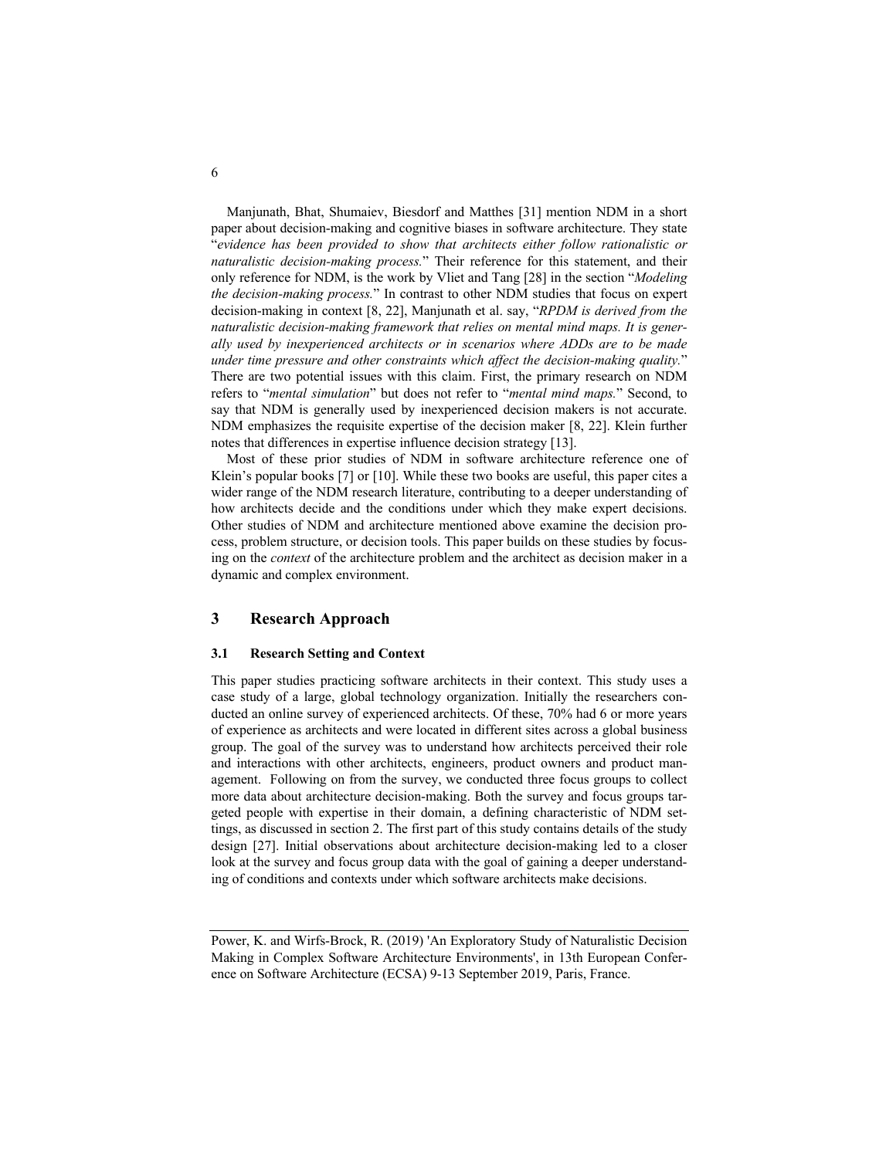Manjunath, Bhat, Shumaiev, Biesdorf and Matthes [31] mention NDM in a short paper about decision-making and cognitive biases in software architecture. They state "*evidence has been provided to show that architects either follow rationalistic or naturalistic decision-making process.*" Their reference for this statement, and their only reference for NDM, is the work by Vliet and Tang [28] in the section "*Modeling the decision-making process.*" In contrast to other NDM studies that focus on expert decision-making in context [8, 22], Manjunath et al. say, "*RPDM is derived from the naturalistic decision-making framework that relies on mental mind maps. It is generally used by inexperienced architects or in scenarios where ADDs are to be made under time pressure and other constraints which affect the decision-making quality.*" There are two potential issues with this claim. First, the primary research on NDM refers to "*mental simulation*" but does not refer to "*mental mind maps.*" Second, to say that NDM is generally used by inexperienced decision makers is not accurate. NDM emphasizes the requisite expertise of the decision maker [8, 22]. Klein further notes that differences in expertise influence decision strategy [13].

Most of these prior studies of NDM in software architecture reference one of Klein's popular books [7] or [10]. While these two books are useful, this paper cites a wider range of the NDM research literature, contributing to a deeper understanding of how architects decide and the conditions under which they make expert decisions. Other studies of NDM and architecture mentioned above examine the decision process, problem structure, or decision tools. This paper builds on these studies by focusing on the *context* of the architecture problem and the architect as decision maker in a dynamic and complex environment.

## **3 Research Approach**

#### **3.1 Research Setting and Context**

This paper studies practicing software architects in their context. This study uses a case study of a large, global technology organization. Initially the researchers conducted an online survey of experienced architects. Of these, 70% had 6 or more years of experience as architects and were located in different sites across a global business group. The goal of the survey was to understand how architects perceived their role and interactions with other architects, engineers, product owners and product management. Following on from the survey, we conducted three focus groups to collect more data about architecture decision-making. Both the survey and focus groups targeted people with expertise in their domain, a defining characteristic of NDM settings, as discussed in section 2. The first part of this study contains details of the study design [27]. Initial observations about architecture decision-making led to a closer look at the survey and focus group data with the goal of gaining a deeper understanding of conditions and contexts under which software architects make decisions.

Power, K. and Wirfs-Brock, R. (2019) 'An Exploratory Study of Naturalistic Decision Making in Complex Software Architecture Environments', in 13th European Conference on Software Architecture (ECSA) 9-13 September 2019, Paris, France.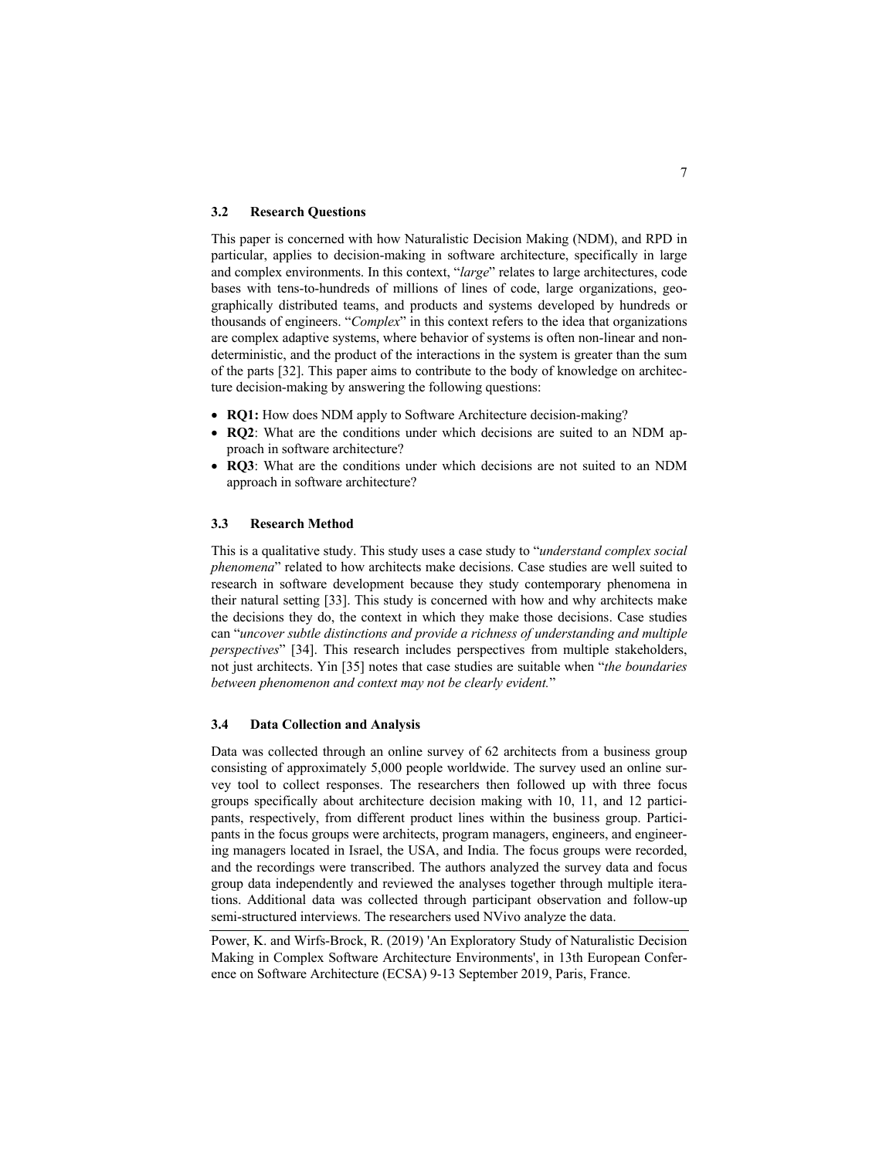#### **3.2 Research Questions**

This paper is concerned with how Naturalistic Decision Making (NDM), and RPD in particular, applies to decision-making in software architecture, specifically in large and complex environments. In this context, "*large*" relates to large architectures, code bases with tens-to-hundreds of millions of lines of code, large organizations, geographically distributed teams, and products and systems developed by hundreds or thousands of engineers. "*Complex*" in this context refers to the idea that organizations are complex adaptive systems, where behavior of systems is often non-linear and nondeterministic, and the product of the interactions in the system is greater than the sum of the parts [32]. This paper aims to contribute to the body of knowledge on architecture decision-making by answering the following questions:

- **RQ1:** How does NDM apply to Software Architecture decision-making?
- **RQ2**: What are the conditions under which decisions are suited to an NDM approach in software architecture?
- **RQ3**: What are the conditions under which decisions are not suited to an NDM approach in software architecture?

#### **3.3 Research Method**

This is a qualitative study. This study uses a case study to "*understand complex social phenomena*" related to how architects make decisions. Case studies are well suited to research in software development because they study contemporary phenomena in their natural setting [33]. This study is concerned with how and why architects make the decisions they do, the context in which they make those decisions. Case studies can "*uncover subtle distinctions and provide a richness of understanding and multiple perspectives*" [34]. This research includes perspectives from multiple stakeholders, not just architects. Yin [35] notes that case studies are suitable when "*the boundaries between phenomenon and context may not be clearly evident.*"

#### **3.4 Data Collection and Analysis**

Data was collected through an online survey of 62 architects from a business group consisting of approximately 5,000 people worldwide. The survey used an online survey tool to collect responses. The researchers then followed up with three focus groups specifically about architecture decision making with 10, 11, and 12 participants, respectively, from different product lines within the business group. Participants in the focus groups were architects, program managers, engineers, and engineering managers located in Israel, the USA, and India. The focus groups were recorded, and the recordings were transcribed. The authors analyzed the survey data and focus group data independently and reviewed the analyses together through multiple iterations. Additional data was collected through participant observation and follow-up semi-structured interviews. The researchers used NVivo analyze the data.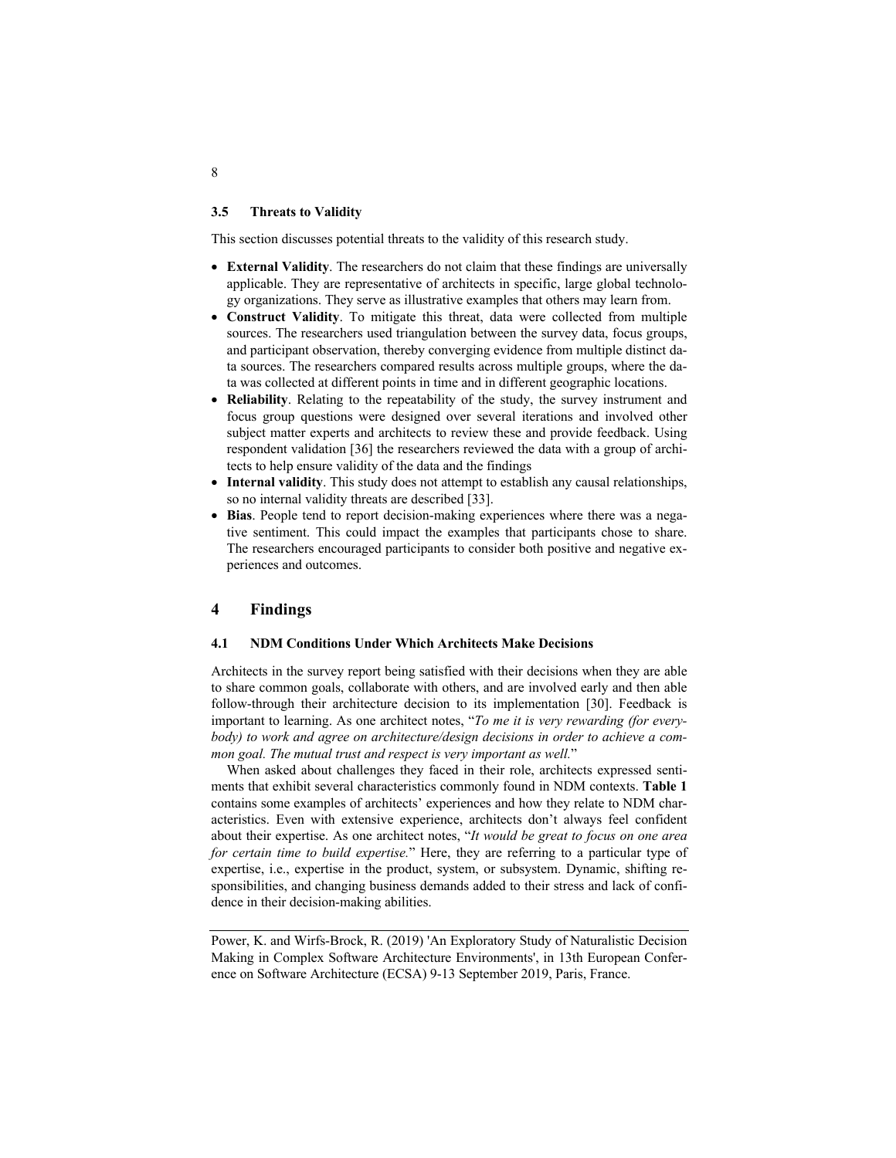#### **3.5 Threats to Validity**

This section discusses potential threats to the validity of this research study.

- **External Validity**. The researchers do not claim that these findings are universally applicable. They are representative of architects in specific, large global technology organizations. They serve as illustrative examples that others may learn from.
- **Construct Validity**. To mitigate this threat, data were collected from multiple sources. The researchers used triangulation between the survey data, focus groups, and participant observation, thereby converging evidence from multiple distinct data sources. The researchers compared results across multiple groups, where the data was collected at different points in time and in different geographic locations.
- **Reliability**. Relating to the repeatability of the study, the survey instrument and focus group questions were designed over several iterations and involved other subject matter experts and architects to review these and provide feedback. Using respondent validation [36] the researchers reviewed the data with a group of architects to help ensure validity of the data and the findings
- **Internal validity**. This study does not attempt to establish any causal relationships, so no internal validity threats are described [33].
- **Bias**. People tend to report decision-making experiences where there was a negative sentiment. This could impact the examples that participants chose to share. The researchers encouraged participants to consider both positive and negative experiences and outcomes.

## **4 Findings**

### **4.1 NDM Conditions Under Which Architects Make Decisions**

Architects in the survey report being satisfied with their decisions when they are able to share common goals, collaborate with others, and are involved early and then able follow-through their architecture decision to its implementation [30]. Feedback is important to learning. As one architect notes, "*To me it is very rewarding (for everybody) to work and agree on architecture/design decisions in order to achieve a common goal. The mutual trust and respect is very important as well.*"

When asked about challenges they faced in their role, architects expressed sentiments that exhibit several characteristics commonly found in NDM contexts. **Table 1** contains some examples of architects' experiences and how they relate to NDM characteristics. Even with extensive experience, architects don't always feel confident about their expertise. As one architect notes, "*It would be great to focus on one area for certain time to build expertise.*" Here, they are referring to a particular type of expertise, i.e., expertise in the product, system, or subsystem. Dynamic, shifting responsibilities, and changing business demands added to their stress and lack of confidence in their decision-making abilities.

Power, K. and Wirfs-Brock, R. (2019) 'An Exploratory Study of Naturalistic Decision Making in Complex Software Architecture Environments', in 13th European Conference on Software Architecture (ECSA) 9-13 September 2019, Paris, France.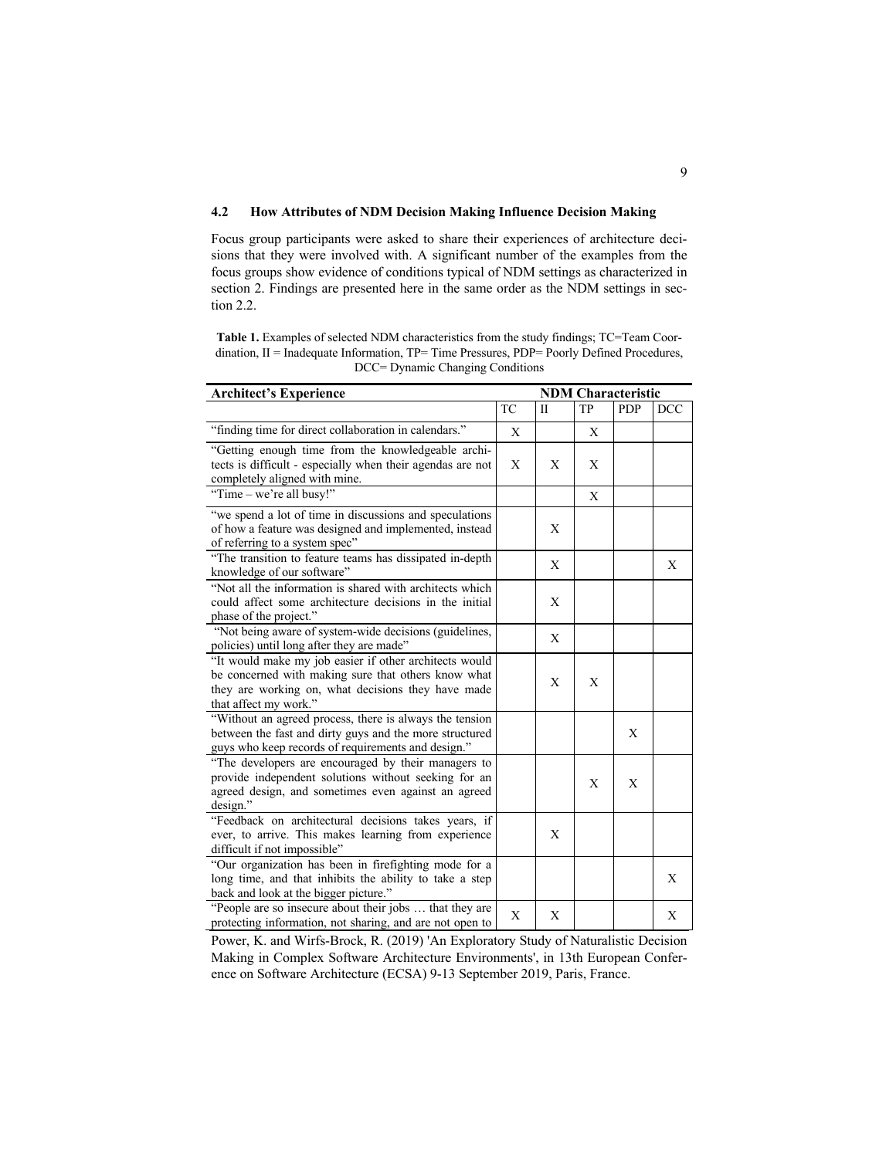#### **4.2 How Attributes of NDM Decision Making Influence Decision Making**

Focus group participants were asked to share their experiences of architecture decisions that they were involved with. A significant number of the examples from the focus groups show evidence of conditions typical of NDM settings as characterized in section 2. Findings are presented here in the same order as the NDM settings in section 2.2.

**Table 1.** Examples of selected NDM characteristics from the study findings; TC=Team Coordination, II = Inadequate Information, TP= Time Pressures, PDP= Poorly Defined Procedures, DCC= Dynamic Changing Conditions

| <b>Architect's Experience</b>                                                                                                                                                                | <b>NDM Characteristic</b> |              |    |            |     |  |
|----------------------------------------------------------------------------------------------------------------------------------------------------------------------------------------------|---------------------------|--------------|----|------------|-----|--|
|                                                                                                                                                                                              | <b>TC</b>                 | $\mathbf{I}$ | TP | <b>PDP</b> | DCC |  |
| "finding time for direct collaboration in calendars."                                                                                                                                        | X                         |              | X  |            |     |  |
| "Getting enough time from the knowledgeable archi-<br>tects is difficult - especially when their agendas are not<br>completely aligned with mine.                                            | X                         | X            | X  |            |     |  |
| "Time – we're all busy!"                                                                                                                                                                     |                           |              | X  |            |     |  |
| "we spend a lot of time in discussions and speculations"<br>of how a feature was designed and implemented, instead<br>of referring to a system spec"                                         |                           | X            |    |            |     |  |
| "The transition to feature teams has dissipated in-depth<br>knowledge of our software"                                                                                                       |                           | X            |    |            | X   |  |
| "Not all the information is shared with architects which<br>could affect some architecture decisions in the initial<br>phase of the project."                                                |                           | X            |    |            |     |  |
| "Not being aware of system-wide decisions (guidelines,<br>policies) until long after they are made"                                                                                          |                           | X            |    |            |     |  |
| "It would make my job easier if other architects would<br>be concerned with making sure that others know what<br>they are working on, what decisions they have made<br>that affect my work." |                           | X            | X  |            |     |  |
| "Without an agreed process, there is always the tension<br>between the fast and dirty guys and the more structured<br>guys who keep records of requirements and design."                     |                           |              |    | X          |     |  |
| "The developers are encouraged by their managers to<br>provide independent solutions without seeking for an<br>agreed design, and sometimes even against an agreed<br>design."               |                           |              | X  | X          |     |  |
| "Feedback on architectural decisions takes years, if<br>ever, to arrive. This makes learning from experience<br>difficult if not impossible"                                                 |                           | $\mathbf{X}$ |    |            |     |  |
| "Our organization has been in firefighting mode for a<br>long time, and that inhibits the ability to take a step<br>back and look at the bigger picture."                                    |                           |              |    |            | X   |  |
| "People are so insecure about their jobs  that they are<br>protecting information, not sharing, and are not open to                                                                          | X                         | X            |    |            | X   |  |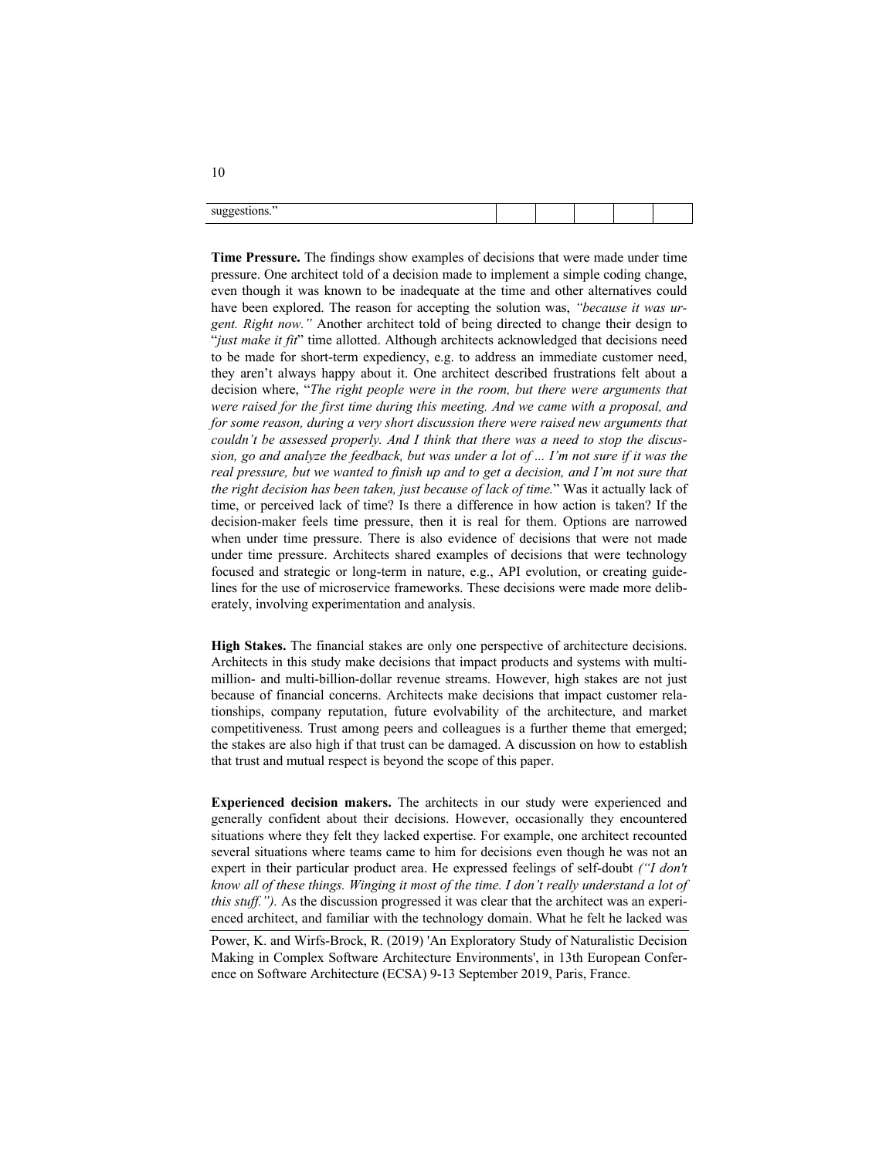**Time Pressure.** The findings show examples of decisions that were made under time pressure. One architect told of a decision made to implement a simple coding change, even though it was known to be inadequate at the time and other alternatives could have been explored. The reason for accepting the solution was, *"because it was urgent. Right now."* Another architect told of being directed to change their design to "*just make it fit*" time allotted. Although architects acknowledged that decisions need to be made for short-term expediency, e.g. to address an immediate customer need, they aren't always happy about it. One architect described frustrations felt about a decision where, "*The right people were in the room, but there were arguments that were raised for the first time during this meeting. And we came with a proposal, and for some reason, during a very short discussion there were raised new arguments that couldn't be assessed properly. And I think that there was a need to stop the discussion, go and analyze the feedback, but was under a lot of ... I'm not sure if it was the real pressure, but we wanted to finish up and to get a decision, and I'm not sure that the right decision has been taken, just because of lack of time.*" Was it actually lack of time, or perceived lack of time? Is there a difference in how action is taken? If the decision-maker feels time pressure, then it is real for them. Options are narrowed when under time pressure. There is also evidence of decisions that were not made under time pressure. Architects shared examples of decisions that were technology focused and strategic or long-term in nature, e.g., API evolution, or creating guidelines for the use of microservice frameworks. These decisions were made more deliberately, involving experimentation and analysis.

**High Stakes.** The financial stakes are only one perspective of architecture decisions. Architects in this study make decisions that impact products and systems with multimillion- and multi-billion-dollar revenue streams. However, high stakes are not just because of financial concerns. Architects make decisions that impact customer relationships, company reputation, future evolvability of the architecture, and market competitiveness. Trust among peers and colleagues is a further theme that emerged; the stakes are also high if that trust can be damaged. A discussion on how to establish that trust and mutual respect is beyond the scope of this paper.

**Experienced decision makers.** The architects in our study were experienced and generally confident about their decisions. However, occasionally they encountered situations where they felt they lacked expertise. For example, one architect recounted several situations where teams came to him for decisions even though he was not an expert in their particular product area. He expressed feelings of self-doubt *("I don't know all of these things. Winging it most of the time. I don't really understand a lot of this stuff.*"). As the discussion progressed it was clear that the architect was an experienced architect, and familiar with the technology domain. What he felt he lacked was

Power, K. and Wirfs-Brock, R. (2019) 'An Exploratory Study of Naturalistic Decision Making in Complex Software Architecture Environments', in 13th European Conference on Software Architecture (ECSA) 9-13 September 2019, Paris, France.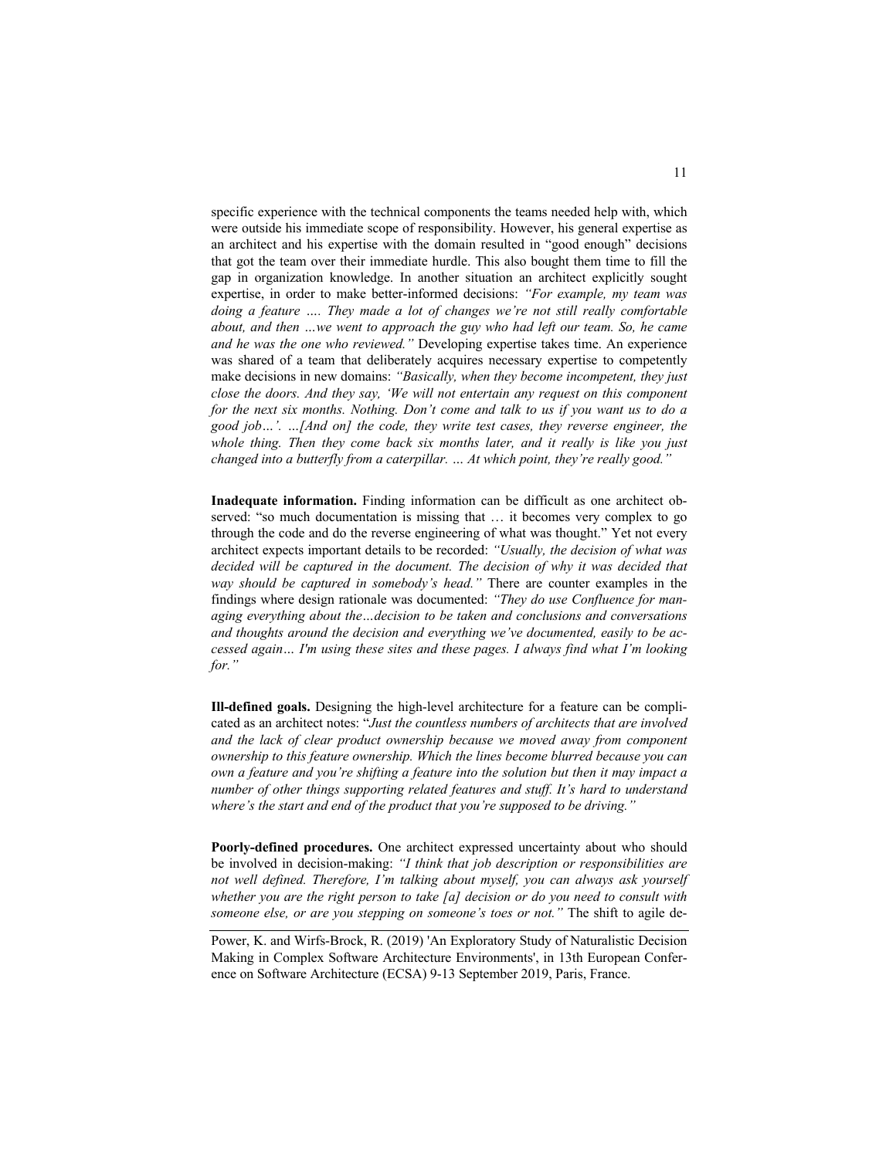specific experience with the technical components the teams needed help with, which were outside his immediate scope of responsibility. However, his general expertise as an architect and his expertise with the domain resulted in "good enough" decisions that got the team over their immediate hurdle. This also bought them time to fill the gap in organization knowledge. In another situation an architect explicitly sought expertise, in order to make better-informed decisions: *"For example, my team was doing a feature …. They made a lot of changes we're not still really comfortable about, and then …we went to approach the guy who had left our team. So, he came and he was the one who reviewed."* Developing expertise takes time. An experience was shared of a team that deliberately acquires necessary expertise to competently make decisions in new domains: *"Basically, when they become incompetent, they just close the doors. And they say, 'We will not entertain any request on this component for the next six months. Nothing. Don't come and talk to us if you want us to do a good job…'. …[And on] the code, they write test cases, they reverse engineer, the whole thing. Then they come back six months later, and it really is like you just changed into a butterfly from a caterpillar. … At which point, they're really good."*

**Inadequate information.** Finding information can be difficult as one architect observed: "so much documentation is missing that … it becomes very complex to go through the code and do the reverse engineering of what was thought." Yet not every architect expects important details to be recorded: *"Usually, the decision of what was decided will be captured in the document. The decision of why it was decided that way should be captured in somebody's head."* There are counter examples in the findings where design rationale was documented: *"They do use Confluence for managing everything about the…decision to be taken and conclusions and conversations and thoughts around the decision and everything we've documented, easily to be accessed again… I'm using these sites and these pages. I always find what I'm looking for."*

**Ill-defined goals.** Designing the high-level architecture for a feature can be complicated as an architect notes: "*Just the countless numbers of architects that are involved and the lack of clear product ownership because we moved away from component ownership to this feature ownership. Which the lines become blurred because you can own a feature and you're shifting a feature into the solution but then it may impact a number of other things supporting related features and stuff. It's hard to understand where's the start and end of the product that you're supposed to be driving."*

**Poorly-defined procedures.** One architect expressed uncertainty about who should be involved in decision-making: *"I think that job description or responsibilities are not well defined. Therefore, I'm talking about myself, you can always ask yourself whether you are the right person to take [a] decision or do you need to consult with someone else, or are you stepping on someone's toes or not."* The shift to agile de-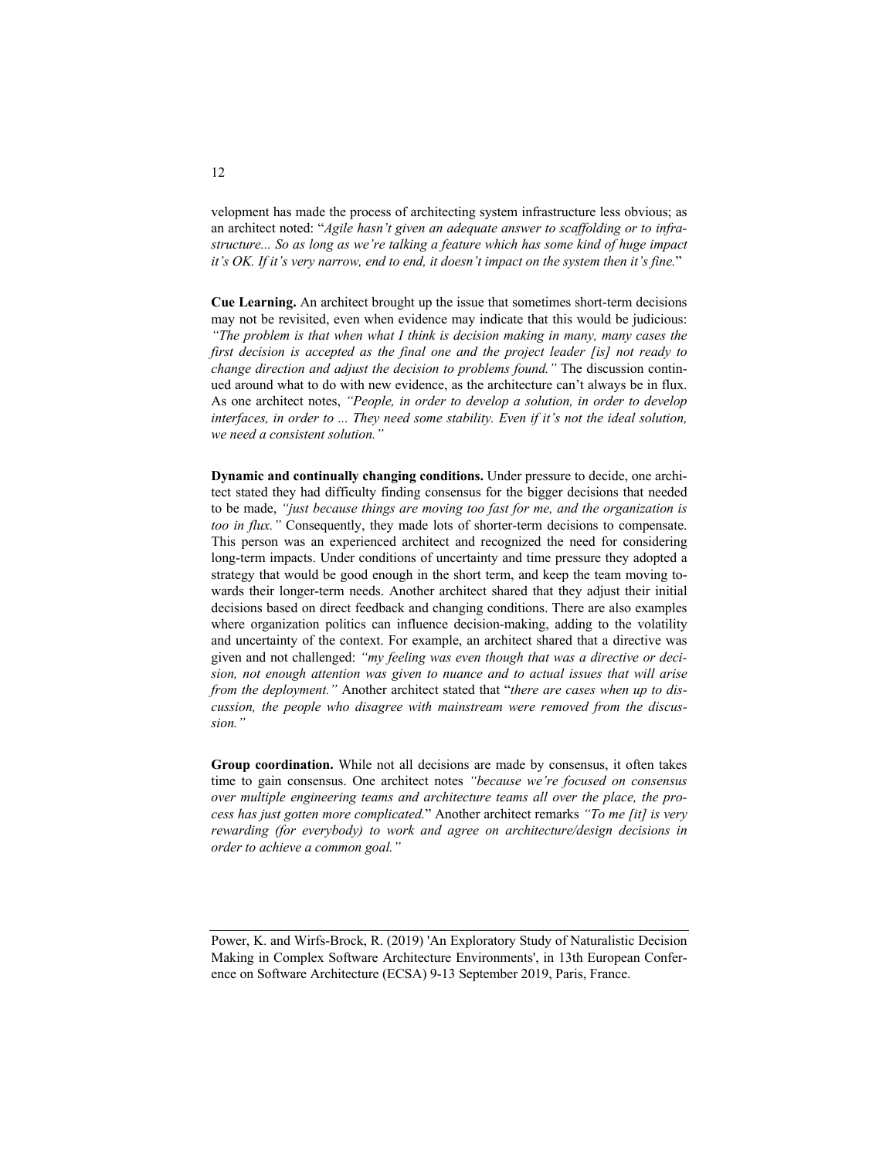velopment has made the process of architecting system infrastructure less obvious; as an architect noted: "*Agile hasn't given an adequate answer to scaffolding or to infrastructure... So as long as we're talking a feature which has some kind of huge impact it's OK. If it's very narrow, end to end, it doesn't impact on the system then it's fine.*"

**Cue Learning.** An architect brought up the issue that sometimes short-term decisions may not be revisited, even when evidence may indicate that this would be judicious: *"The problem is that when what I think is decision making in many, many cases the first decision is accepted as the final one and the project leader [is] not ready to change direction and adjust the decision to problems found."* The discussion continued around what to do with new evidence, as the architecture can't always be in flux. As one architect notes, *"People, in order to develop a solution, in order to develop interfaces, in order to ... They need some stability. Even if it's not the ideal solution, we need a consistent solution."*

**Dynamic and continually changing conditions.** Under pressure to decide, one architect stated they had difficulty finding consensus for the bigger decisions that needed to be made, *"just because things are moving too fast for me, and the organization is too in flux."* Consequently, they made lots of shorter-term decisions to compensate. This person was an experienced architect and recognized the need for considering long-term impacts. Under conditions of uncertainty and time pressure they adopted a strategy that would be good enough in the short term, and keep the team moving towards their longer-term needs. Another architect shared that they adjust their initial decisions based on direct feedback and changing conditions. There are also examples where organization politics can influence decision-making, adding to the volatility and uncertainty of the context. For example, an architect shared that a directive was given and not challenged: *"my feeling was even though that was a directive or decision, not enough attention was given to nuance and to actual issues that will arise from the deployment."* Another architect stated that "*there are cases when up to discussion, the people who disagree with mainstream were removed from the discussion."*

**Group coordination.** While not all decisions are made by consensus, it often takes time to gain consensus. One architect notes *"because we're focused on consensus over multiple engineering teams and architecture teams all over the place, the process has just gotten more complicated.*" Another architect remarks *"To me [it] is very rewarding (for everybody) to work and agree on architecture/design decisions in order to achieve a common goal."*

Power, K. and Wirfs-Brock, R. (2019) 'An Exploratory Study of Naturalistic Decision Making in Complex Software Architecture Environments', in 13th European Conference on Software Architecture (ECSA) 9-13 September 2019, Paris, France.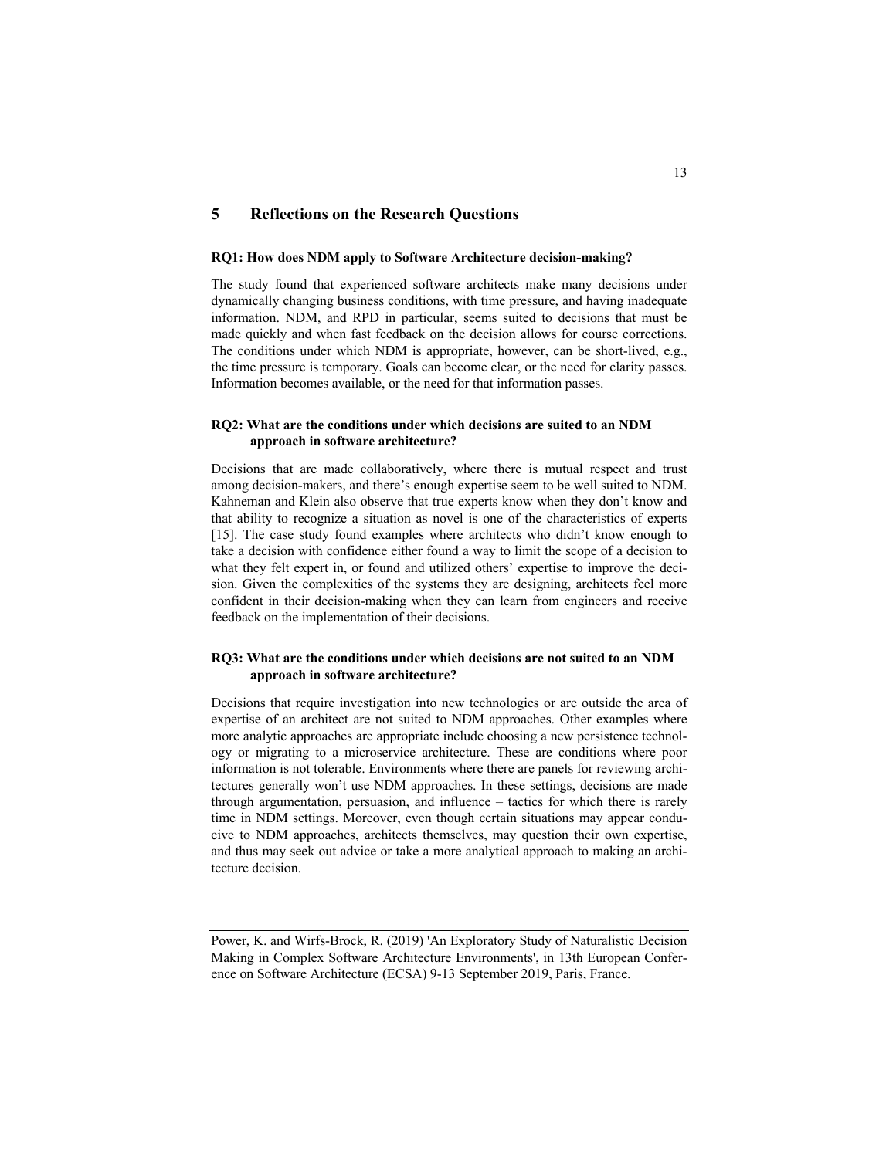## **5 Reflections on the Research Questions**

#### **RQ1: How does NDM apply to Software Architecture decision-making?**

The study found that experienced software architects make many decisions under dynamically changing business conditions, with time pressure, and having inadequate information. NDM, and RPD in particular, seems suited to decisions that must be made quickly and when fast feedback on the decision allows for course corrections. The conditions under which NDM is appropriate, however, can be short-lived, e.g., the time pressure is temporary. Goals can become clear, or the need for clarity passes. Information becomes available, or the need for that information passes.

### **RQ2: What are the conditions under which decisions are suited to an NDM approach in software architecture?**

Decisions that are made collaboratively, where there is mutual respect and trust among decision-makers, and there's enough expertise seem to be well suited to NDM. Kahneman and Klein also observe that true experts know when they don't know and that ability to recognize a situation as novel is one of the characteristics of experts [15]. The case study found examples where architects who didn't know enough to take a decision with confidence either found a way to limit the scope of a decision to what they felt expert in, or found and utilized others' expertise to improve the decision. Given the complexities of the systems they are designing, architects feel more confident in their decision-making when they can learn from engineers and receive feedback on the implementation of their decisions.

### **RQ3: What are the conditions under which decisions are not suited to an NDM approach in software architecture?**

Decisions that require investigation into new technologies or are outside the area of expertise of an architect are not suited to NDM approaches. Other examples where more analytic approaches are appropriate include choosing a new persistence technology or migrating to a microservice architecture. These are conditions where poor information is not tolerable. Environments where there are panels for reviewing architectures generally won't use NDM approaches. In these settings, decisions are made through argumentation, persuasion, and influence – tactics for which there is rarely time in NDM settings. Moreover, even though certain situations may appear conducive to NDM approaches, architects themselves, may question their own expertise, and thus may seek out advice or take a more analytical approach to making an architecture decision.

Power, K. and Wirfs-Brock, R. (2019) 'An Exploratory Study of Naturalistic Decision Making in Complex Software Architecture Environments', in 13th European Conference on Software Architecture (ECSA) 9-13 September 2019, Paris, France.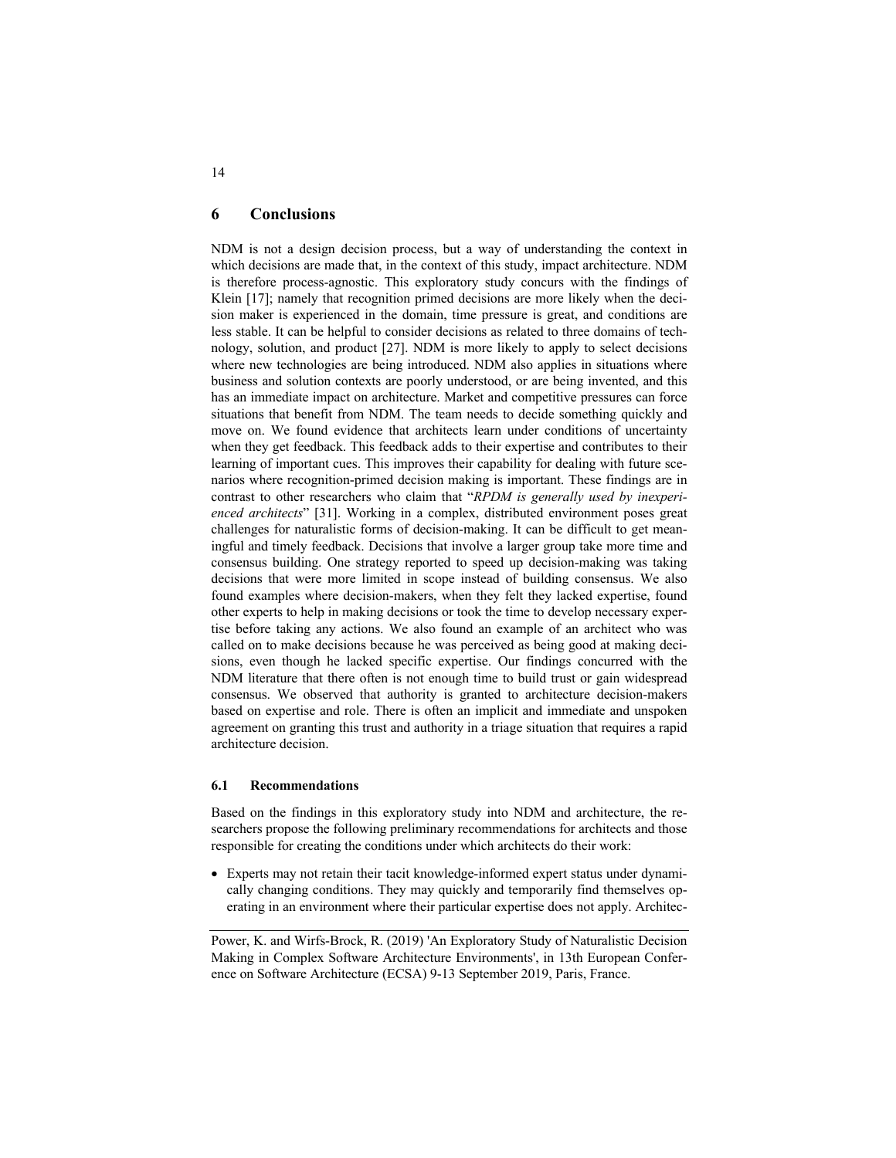## **6 Conclusions**

NDM is not a design decision process, but a way of understanding the context in which decisions are made that, in the context of this study, impact architecture. NDM is therefore process-agnostic. This exploratory study concurs with the findings of Klein [17]; namely that recognition primed decisions are more likely when the decision maker is experienced in the domain, time pressure is great, and conditions are less stable. It can be helpful to consider decisions as related to three domains of technology, solution, and product [27]. NDM is more likely to apply to select decisions where new technologies are being introduced. NDM also applies in situations where business and solution contexts are poorly understood, or are being invented, and this has an immediate impact on architecture. Market and competitive pressures can force situations that benefit from NDM. The team needs to decide something quickly and move on. We found evidence that architects learn under conditions of uncertainty when they get feedback. This feedback adds to their expertise and contributes to their learning of important cues. This improves their capability for dealing with future scenarios where recognition-primed decision making is important. These findings are in contrast to other researchers who claim that "*RPDM is generally used by inexperienced architects*" [31]. Working in a complex, distributed environment poses great challenges for naturalistic forms of decision-making. It can be difficult to get meaningful and timely feedback. Decisions that involve a larger group take more time and consensus building. One strategy reported to speed up decision-making was taking decisions that were more limited in scope instead of building consensus. We also found examples where decision-makers, when they felt they lacked expertise, found other experts to help in making decisions or took the time to develop necessary expertise before taking any actions. We also found an example of an architect who was called on to make decisions because he was perceived as being good at making decisions, even though he lacked specific expertise. Our findings concurred with the NDM literature that there often is not enough time to build trust or gain widespread consensus. We observed that authority is granted to architecture decision-makers based on expertise and role. There is often an implicit and immediate and unspoken agreement on granting this trust and authority in a triage situation that requires a rapid architecture decision.

### **6.1 Recommendations**

Based on the findings in this exploratory study into NDM and architecture, the researchers propose the following preliminary recommendations for architects and those responsible for creating the conditions under which architects do their work:

• Experts may not retain their tacit knowledge-informed expert status under dynamically changing conditions. They may quickly and temporarily find themselves operating in an environment where their particular expertise does not apply. Architec-

Power, K. and Wirfs-Brock, R. (2019) 'An Exploratory Study of Naturalistic Decision Making in Complex Software Architecture Environments', in 13th European Conference on Software Architecture (ECSA) 9-13 September 2019, Paris, France.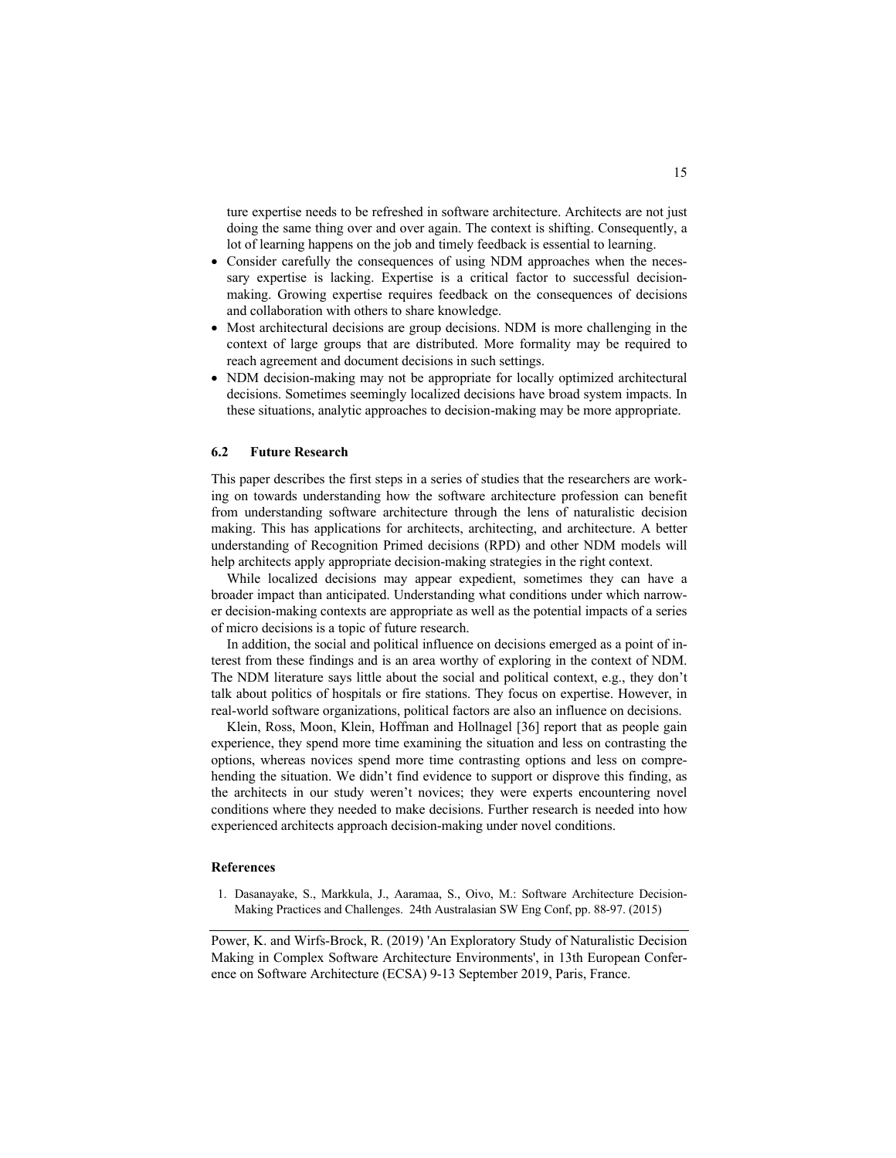ture expertise needs to be refreshed in software architecture. Architects are not just doing the same thing over and over again. The context is shifting. Consequently, a lot of learning happens on the job and timely feedback is essential to learning.

- Consider carefully the consequences of using NDM approaches when the necessary expertise is lacking. Expertise is a critical factor to successful decisionmaking. Growing expertise requires feedback on the consequences of decisions and collaboration with others to share knowledge.
- Most architectural decisions are group decisions. NDM is more challenging in the context of large groups that are distributed. More formality may be required to reach agreement and document decisions in such settings.
- NDM decision-making may not be appropriate for locally optimized architectural decisions. Sometimes seemingly localized decisions have broad system impacts. In these situations, analytic approaches to decision-making may be more appropriate.

#### **6.2 Future Research**

This paper describes the first steps in a series of studies that the researchers are working on towards understanding how the software architecture profession can benefit from understanding software architecture through the lens of naturalistic decision making. This has applications for architects, architecting, and architecture. A better understanding of Recognition Primed decisions (RPD) and other NDM models will help architects apply appropriate decision-making strategies in the right context.

While localized decisions may appear expedient, sometimes they can have a broader impact than anticipated. Understanding what conditions under which narrower decision-making contexts are appropriate as well as the potential impacts of a series of micro decisions is a topic of future research.

In addition, the social and political influence on decisions emerged as a point of interest from these findings and is an area worthy of exploring in the context of NDM. The NDM literature says little about the social and political context, e.g., they don't talk about politics of hospitals or fire stations. They focus on expertise. However, in real-world software organizations, political factors are also an influence on decisions.

Klein, Ross, Moon, Klein, Hoffman and Hollnagel [36] report that as people gain experience, they spend more time examining the situation and less on contrasting the options, whereas novices spend more time contrasting options and less on comprehending the situation. We didn't find evidence to support or disprove this finding, as the architects in our study weren't novices; they were experts encountering novel conditions where they needed to make decisions. Further research is needed into how experienced architects approach decision-making under novel conditions.

#### **References**

1. Dasanayake, S., Markkula, J., Aaramaa, S., Oivo, M.: Software Architecture Decision-Making Practices and Challenges. 24th Australasian SW Eng Conf, pp. 88-97. (2015)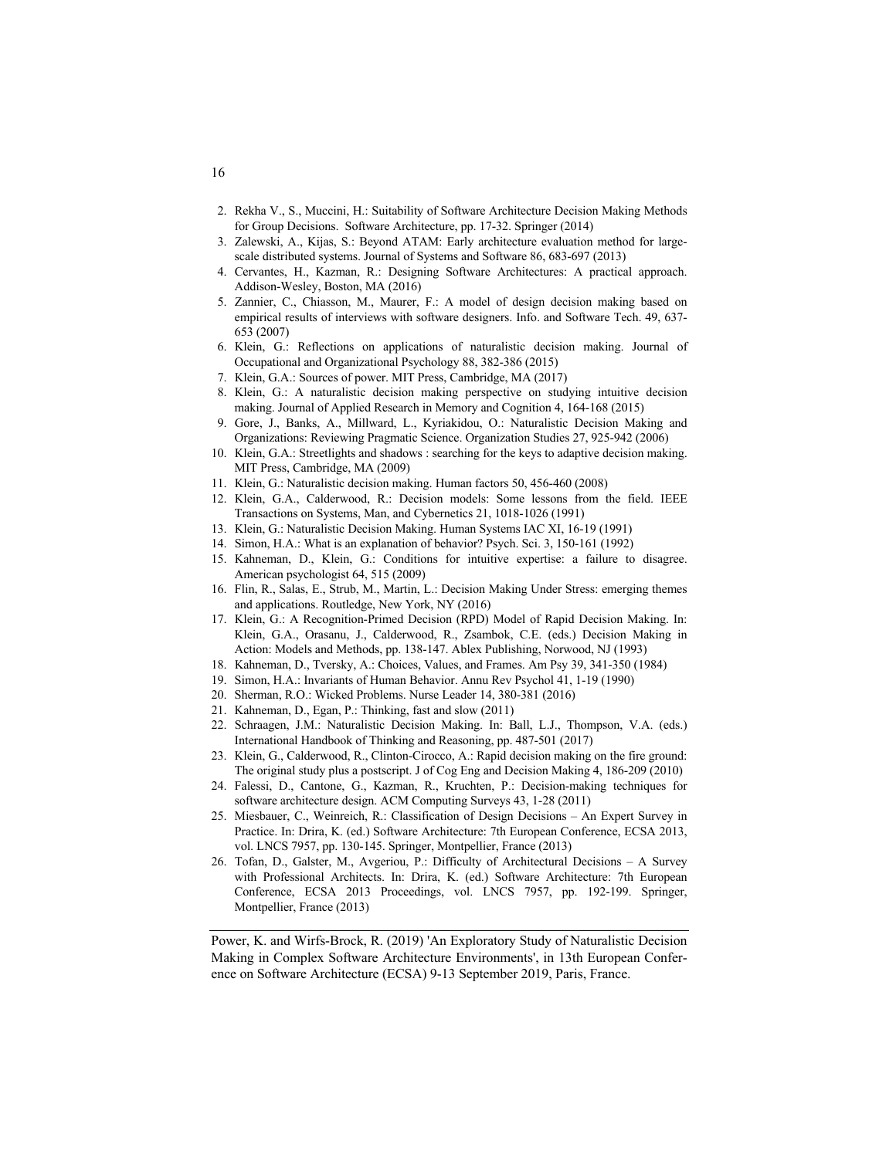- 2. Rekha V., S., Muccini, H.: Suitability of Software Architecture Decision Making Methods for Group Decisions. Software Architecture, pp. 17-32. Springer (2014)
- 3. Zalewski, A., Kijas, S.: Beyond ATAM: Early architecture evaluation method for largescale distributed systems. Journal of Systems and Software 86, 683-697 (2013)
- 4. Cervantes, H., Kazman, R.: Designing Software Architectures: A practical approach. Addison-Wesley, Boston, MA (2016)
- 5. Zannier, C., Chiasson, M., Maurer, F.: A model of design decision making based on empirical results of interviews with software designers. Info. and Software Tech. 49, 637- 653 (2007)
- 6. Klein, G.: Reflections on applications of naturalistic decision making. Journal of Occupational and Organizational Psychology 88, 382-386 (2015)
- 7. Klein, G.A.: Sources of power. MIT Press, Cambridge, MA (2017)
- Klein, G.: A naturalistic decision making perspective on studying intuitive decision making. Journal of Applied Research in Memory and Cognition 4, 164-168 (2015)
- 9. Gore, J., Banks, A., Millward, L., Kyriakidou, O.: Naturalistic Decision Making and Organizations: Reviewing Pragmatic Science. Organization Studies 27, 925-942 (2006)
- 10. Klein, G.A.: Streetlights and shadows : searching for the keys to adaptive decision making. MIT Press, Cambridge, MA (2009)
- 11. Klein, G.: Naturalistic decision making. Human factors 50, 456-460 (2008)
- 12. Klein, G.A., Calderwood, R.: Decision models: Some lessons from the field. IEEE Transactions on Systems, Man, and Cybernetics 21, 1018-1026 (1991)
- 13. Klein, G.: Naturalistic Decision Making. Human Systems IAC XI, 16-19 (1991)
- 14. Simon, H.A.: What is an explanation of behavior? Psych. Sci. 3, 150-161 (1992)
- 15. Kahneman, D., Klein, G.: Conditions for intuitive expertise: a failure to disagree. American psychologist 64, 515 (2009)
- 16. Flin, R., Salas, E., Strub, M., Martin, L.: Decision Making Under Stress: emerging themes and applications. Routledge, New York, NY (2016)
- 17. Klein, G.: A Recognition-Primed Decision (RPD) Model of Rapid Decision Making. In: Klein, G.A., Orasanu, J., Calderwood, R., Zsambok, C.E. (eds.) Decision Making in Action: Models and Methods, pp. 138-147. Ablex Publishing, Norwood, NJ (1993)
- 18. Kahneman, D., Tversky, A.: Choices, Values, and Frames. Am Psy 39, 341-350 (1984)
- 19. Simon, H.A.: Invariants of Human Behavior. Annu Rev Psychol 41, 1-19 (1990)
- 20. Sherman, R.O.: Wicked Problems. Nurse Leader 14, 380-381 (2016)
- 21. Kahneman, D., Egan, P.: Thinking, fast and slow (2011)
- 22. Schraagen, J.M.: Naturalistic Decision Making. In: Ball, L.J., Thompson, V.A. (eds.) International Handbook of Thinking and Reasoning, pp. 487-501 (2017)
- 23. Klein, G., Calderwood, R., Clinton-Cirocco, A.: Rapid decision making on the fire ground: The original study plus a postscript. J of Cog Eng and Decision Making 4, 186-209 (2010)
- 24. Falessi, D., Cantone, G., Kazman, R., Kruchten, P.: Decision-making techniques for software architecture design. ACM Computing Surveys 43, 1-28 (2011)
- 25. Miesbauer, C., Weinreich, R.: Classification of Design Decisions An Expert Survey in Practice. In: Drira, K. (ed.) Software Architecture: 7th European Conference, ECSA 2013, vol. LNCS 7957, pp. 130-145. Springer, Montpellier, France (2013)
- 26. Tofan, D., Galster, M., Avgeriou, P.: Difficulty of Architectural Decisions A Survey with Professional Architects. In: Drira, K. (ed.) Software Architecture: 7th European Conference, ECSA 2013 Proceedings, vol. LNCS 7957, pp. 192-199. Springer, Montpellier, France (2013)

Power, K. and Wirfs-Brock, R. (2019) 'An Exploratory Study of Naturalistic Decision Making in Complex Software Architecture Environments', in 13th European Conference on Software Architecture (ECSA) 9-13 September 2019, Paris, France.